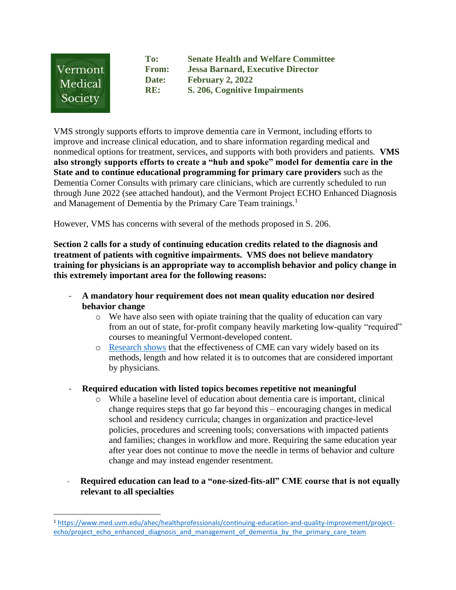

**To: Senate Health and Welfare Committee From: Jessa Barnard, Executive Director Date: February 2, 2022 RE: S. 206, Cognitive Impairments** 

VMS strongly supports efforts to improve dementia care in Vermont, including efforts to improve and increase clinical education, and to share information regarding medical and nonmedical options for treatment, services, and supports with both providers and patients. **VMS also strongly supports efforts to create a "hub and spoke" model for dementia care in the State and to continue educational programming for primary care providers** such as the Dementia Corner Consults with primary care clinicians, which are currently scheduled to run through June 2022 (see attached handout), and the Vermont Project ECHO Enhanced Diagnosis and Management of Dementia by the Primary Care Team trainings.<sup>1</sup>

However, VMS has concerns with several of the methods proposed in S. 206.

**Section 2 calls for a study of continuing education credits related to the diagnosis and treatment of patients with cognitive impairments. VMS does not believe mandatory training for physicians is an appropriate way to accomplish behavior and policy change in this extremely important area for the following reasons:** 

- **A mandatory hour requirement does not mean quality education nor desired behavior change**
	- $\circ$  We have also seen with opiate training that the quality of education can vary from an out of state, for-profit company heavily marketing low-quality "required" courses to meaningful Vermont-developed content.
	- o [Research shows](https://onlinelibrary.wiley.com/doi/epdf/10.1002/chp.21290) that the effectiveness of CME can vary widely based on its methods, length and how related it is to outcomes that are considered important by physicians.
- **Required education with listed topics becomes repetitive not meaningful** 
	- o While a baseline level of education about dementia care is important, clinical change requires steps that go far beyond this – encouraging changes in medical school and residency curricula; changes in organization and practice-level policies, procedures and screening tools; conversations with impacted patients and families; changes in workflow and more. Requiring the same education year after year does not continue to move the needle in terms of behavior and culture change and may instead engender resentment.
- **Required education can lead to a "one-sized-fits-all" CME course that is not equally relevant to all specialties**

<sup>1</sup> [https://www.med.uvm.edu/ahec/healthprofessionals/continuing-education-and-quality-improvement/project](https://www.med.uvm.edu/ahec/healthprofessionals/continuing-education-and-quality-improvement/project-echo/project_echo_enhanced_diagnosis_and_management_of_dementia_by_the_primary_care_team)echo/project echo enhanced diagnosis and management of dementia by the primary care team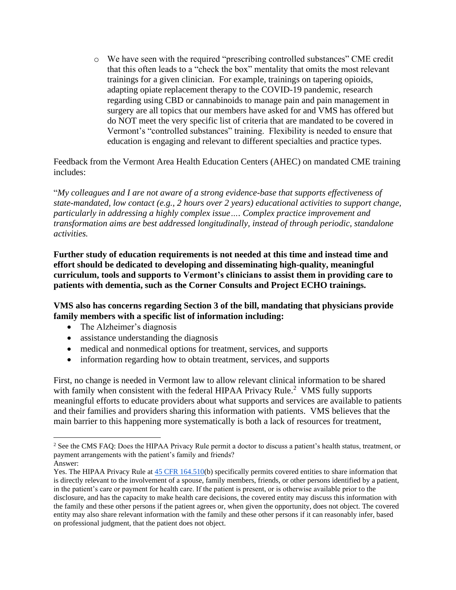o We have seen with the required "prescribing controlled substances" CME credit that this often leads to a "check the box" mentality that omits the most relevant trainings for a given clinician. For example, trainings on tapering opioids, adapting opiate replacement therapy to the COVID-19 pandemic, research regarding using CBD or cannabinoids to manage pain and pain management in surgery are all topics that our members have asked for and VMS has offered but do NOT meet the very specific list of criteria that are mandated to be covered in Vermont's "controlled substances" training. Flexibility is needed to ensure that education is engaging and relevant to different specialties and practice types.

Feedback from the Vermont Area Health Education Centers (AHEC) on mandated CME training includes:

"*My colleagues and I are not aware of a strong evidence-base that supports effectiveness of state-mandated, low contact (e.g., 2 hours over 2 years) educational activities to support change, particularly in addressing a highly complex issue…. Complex practice improvement and transformation aims are best addressed longitudinally, instead of through periodic, standalone activities.*

**Further study of education requirements is not needed at this time and instead time and effort should be dedicated to developing and disseminating high-quality, meaningful curriculum, tools and supports to Vermont's clinicians to assist them in providing care to patients with dementia, such as the Corner Consults and Project ECHO trainings.** 

**VMS also has concerns regarding Section 3 of the bill, mandating that physicians provide family members with a specific list of information including:** 

- The Alzheimer's diagnosis
- assistance understanding the diagnosis
- medical and nonmedical options for treatment, services, and supports
- information regarding how to obtain treatment, services, and supports

First, no change is needed in Vermont law to allow relevant clinical information to be shared with family when consistent with the federal HIPAA Privacy Rule.<sup>2</sup> VMS fully supports meaningful efforts to educate providers about what supports and services are available to patients and their families and providers sharing this information with patients. VMS believes that the main barrier to this happening more systematically is both a lack of resources for treatment,

<sup>&</sup>lt;sup>2</sup> See the CMS FAQ: Does the HIPAA Privacy Rule permit a doctor to discuss a patient's health status, treatment, or payment arrangements with the patient's family and friends?

Answer:

Yes. The HIPAA Privacy Rule at [45 CFR 164.510\(](https://www.gpo.gov/fdsys/pkg/CFR-2003-title45-vol1/xml/CFR-2003-title45-vol1-sec164-510.xml)b) specifically permits covered entities to share information that is directly relevant to the involvement of a spouse, family members, friends, or other persons identified by a patient, in the patient's care or payment for health care. If the patient is present, or is otherwise available prior to the disclosure, and has the capacity to make health care decisions, the covered entity may discuss this information with the family and these other persons if the patient agrees or, when given the opportunity, does not object. The covered entity may also share relevant information with the family and these other persons if it can reasonably infer, based on professional judgment, that the patient does not object.